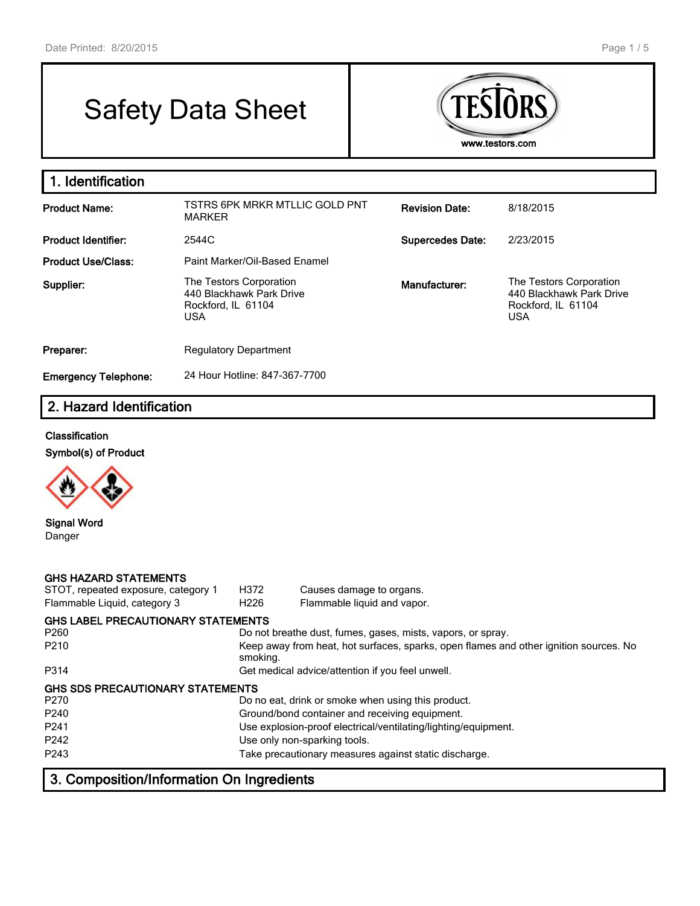# Safety Data Sheet



#### **1. Identification Product Name:** TSTRS 6PK MRKR MTLLIC GOLD PNT MARKER **Revision Date:** 8/18/2015 **Product Identifier:** 2544C **Supercedes Date:** 2/23/2015 Product Use/Class: Paint Marker/Oil-Based Enamel **Supplier:** The Testors Corporation 440 Blackhawk Park Drive Rockford, IL 61104 USA **Manufacturer:** The Testors Corporation 440 Blackhawk Park Drive Rockford, IL 61104 USA **Preparer:** Regulatory Department **Emergency Telephone:** 24 Hour Hotline: 847-367-7700

# **2. Hazard Identification**

#### **Classification**

**Symbol(s) of Product**



**Signal Word** Danger

| <b>GHS HAZARD STATEMENTS</b><br>STOT, repeated exposure, category 1<br>Flammable Liquid, category 3 | H372<br>H <sub>226</sub> | Causes damage to organs.<br>Flammable liquid and vapor.                               |
|-----------------------------------------------------------------------------------------------------|--------------------------|---------------------------------------------------------------------------------------|
| <b>GHS LABEL PRECAUTIONARY STATEMENTS</b><br>P <sub>260</sub>                                       |                          | Do not breathe dust, fumes, gases, mists, vapors, or spray.                           |
| P <sub>210</sub>                                                                                    | smoking.                 | Keep away from heat, hot surfaces, sparks, open flames and other ignition sources. No |
| P314                                                                                                |                          | Get medical advice/attention if you feel unwell.                                      |
| GHS SDS PRECAUTIONARY STATEMENTS                                                                    |                          |                                                                                       |
| P <sub>270</sub>                                                                                    |                          | Do no eat, drink or smoke when using this product.                                    |
| P <sub>240</sub>                                                                                    |                          | Ground/bond container and receiving equipment.                                        |
| P <sub>241</sub>                                                                                    |                          | Use explosion-proof electrical/ventilating/lighting/equipment.                        |
| P <sub>242</sub>                                                                                    |                          | Use only non-sparking tools.                                                          |
| P243                                                                                                |                          | Take precautionary measures against static discharge.                                 |

# **3. Composition/Information On Ingredients**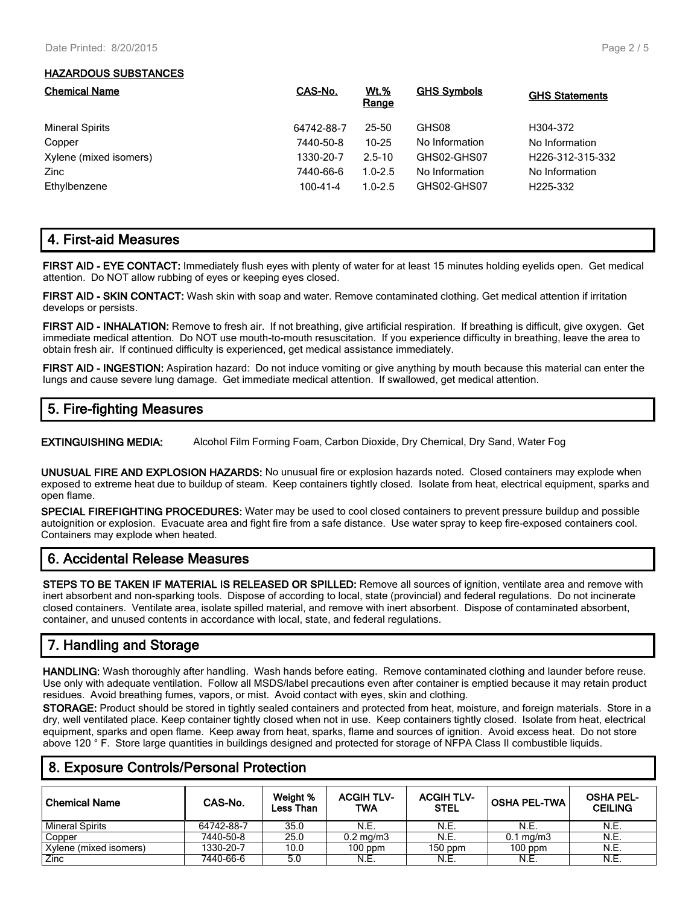#### **HAZARDOUS SUBSTANCES**

| <b>Chemical Name</b>   | CAS-No.        | <u>Wt.%</u><br>Range | <b>GHS Symbols</b> | <b>GHS Statements</b>         |
|------------------------|----------------|----------------------|--------------------|-------------------------------|
| <b>Mineral Spirits</b> | 64742-88-7     | 25-50                | GHS08              | H304-372                      |
| Copper                 | 7440-50-8      | $10 - 25$            | No Information     | No Information                |
| Xylene (mixed isomers) | 1330-20-7      | $2.5 - 10$           | GHS02-GHS07        | H <sub>226</sub> -312-315-332 |
| Zinc                   | 7440-66-6      | $1.0 - 2.5$          | No Information     | No Information                |
| Ethylbenzene           | $100 - 41 - 4$ | $1.0 - 2.5$          | GHS02-GHS07        | H <sub>225</sub> -332         |

## **4. First-aid Measures**

**FIRST AID - EYE CONTACT:** Immediately flush eyes with plenty of water for at least 15 minutes holding eyelids open. Get medical attention. Do NOT allow rubbing of eyes or keeping eyes closed.

**FIRST AID - SKIN CONTACT:** Wash skin with soap and water. Remove contaminated clothing. Get medical attention if irritation develops or persists.

**FIRST AID - INHALATION:** Remove to fresh air. If not breathing, give artificial respiration. If breathing is difficult, give oxygen. Get immediate medical attention. Do NOT use mouth-to-mouth resuscitation. If you experience difficulty in breathing, leave the area to obtain fresh air. If continued difficulty is experienced, get medical assistance immediately.

**FIRST AID - INGESTION:** Aspiration hazard: Do not induce vomiting or give anything by mouth because this material can enter the lungs and cause severe lung damage. Get immediate medical attention. If swallowed, get medical attention.

# **5. Fire-fighting Measures**

**EXTINGUISHING MEDIA:** Alcohol Film Forming Foam, Carbon Dioxide, Dry Chemical, Dry Sand, Water Fog

**UNUSUAL FIRE AND EXPLOSION HAZARDS:** No unusual fire or explosion hazards noted. Closed containers may explode when exposed to extreme heat due to buildup of steam. Keep containers tightly closed. Isolate from heat, electrical equipment, sparks and open flame.

**SPECIAL FIREFIGHTING PROCEDURES:** Water may be used to cool closed containers to prevent pressure buildup and possible autoignition or explosion. Evacuate area and fight fire from a safe distance. Use water spray to keep fire-exposed containers cool. Containers may explode when heated.

## **6. Accidental Release Measures**

**STEPS TO BE TAKEN IF MATERIAL IS RELEASED OR SPILLED:** Remove all sources of ignition, ventilate area and remove with inert absorbent and non-sparking tools. Dispose of according to local, state (provincial) and federal regulations. Do not incinerate closed containers. Ventilate area, isolate spilled material, and remove with inert absorbent. Dispose of contaminated absorbent, container, and unused contents in accordance with local, state, and federal regulations.

# **7. Handling and Storage**

**HANDLING:** Wash thoroughly after handling. Wash hands before eating. Remove contaminated clothing and launder before reuse. Use only with adequate ventilation. Follow all MSDS/label precautions even after container is emptied because it may retain product residues. Avoid breathing fumes, vapors, or mist. Avoid contact with eyes, skin and clothing.

**STORAGE:** Product should be stored in tightly sealed containers and protected from heat, moisture, and foreign materials. Store in a dry, well ventilated place. Keep container tightly closed when not in use. Keep containers tightly closed. Isolate from heat, electrical equipment, sparks and open flame. Keep away from heat, sparks, flame and sources of ignition. Avoid excess heat. Do not store above 120 ° F. Store large quantities in buildings designed and protected for storage of NFPA Class II combustible liquids.

| <b>Chemical Name</b>   | CAS-No.    | Weight %<br>Less Than | <b>ACGIH TLV-</b><br>TWA | <b>ACGIH TLV-</b><br><b>STEL</b> | <b>OSHA PEL-TWA</b> | <b>OSHA PEL-</b><br><b>CEILING</b> |
|------------------------|------------|-----------------------|--------------------------|----------------------------------|---------------------|------------------------------------|
| <b>Mineral Spirits</b> | 64742-88-7 | 35.0                  | N.E.                     | N.E.                             | N.E.                | <b>N.E.</b>                        |
| Copper                 | 7440-50-8  | 25.0                  | $0.2 \text{ mg/m}$ 3     | N.E.                             | $0.1 \text{ mg/m}$  | N.E.                               |
| Xylene (mixed isomers) | 1330-20-7  | 10.0                  | $100$ ppm                | $150$ ppm                        | $100$ ppm           | N.E.                               |
| Zinc                   | 7440-66-6  | 5.0                   | N.E.                     | N.E.                             | N.E.                | N.E.                               |

## **8. Exposure Controls/Personal Protection**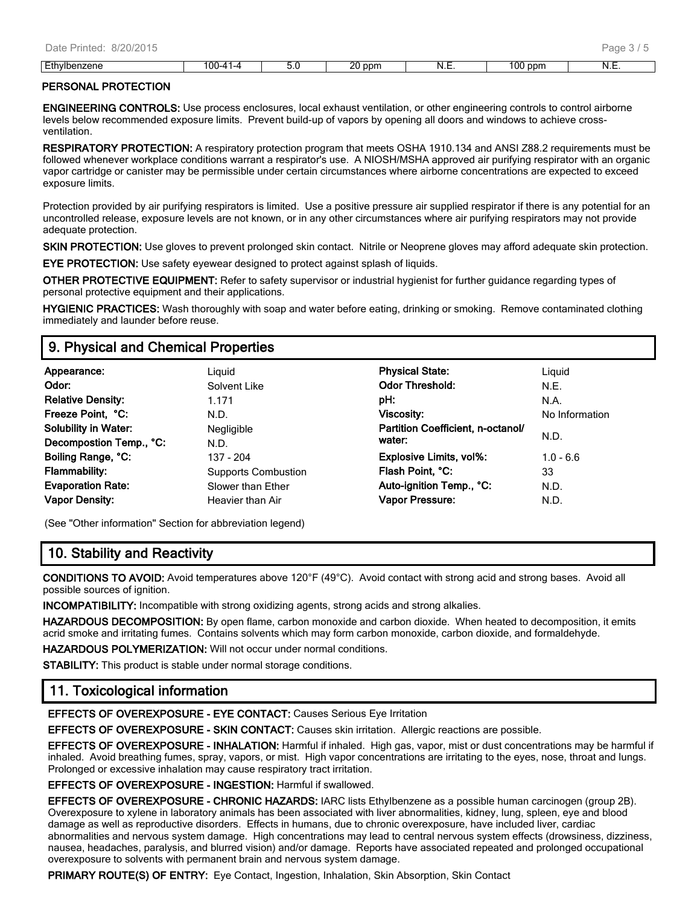#### **PERSONAL PROTECTION**

**ENGINEERING CONTROLS:** Use process enclosures, local exhaust ventilation, or other engineering controls to control airborne levels below recommended exposure limits. Prevent build-up of vapors by opening all doors and windows to achieve crossventilation.

**RESPIRATORY PROTECTION:** A respiratory protection program that meets OSHA 1910.134 and ANSI Z88.2 requirements must be followed whenever workplace conditions warrant a respirator's use. A NIOSH/MSHA approved air purifying respirator with an organic vapor cartridge or canister may be permissible under certain circumstances where airborne concentrations are expected to exceed exposure limits.

Protection provided by air purifying respirators is limited. Use a positive pressure air supplied respirator if there is any potential for an uncontrolled release, exposure levels are not known, or in any other circumstances where air purifying respirators may not provide adequate protection.

**SKIN PROTECTION:** Use gloves to prevent prolonged skin contact. Nitrile or Neoprene gloves may afford adequate skin protection.

**EYE PROTECTION:** Use safety eyewear designed to protect against splash of liquids.

**OTHER PROTECTIVE EQUIPMENT:** Refer to safety supervisor or industrial hygienist for further guidance regarding types of personal protective equipment and their applications.

**HYGIENIC PRACTICES:** Wash thoroughly with soap and water before eating, drinking or smoking. Remove contaminated clothing immediately and launder before reuse.

## **9. Physical and Chemical Properties**

| Appearance:                 | Liguid                     | <b>Physical State:</b>            | Liguid         |
|-----------------------------|----------------------------|-----------------------------------|----------------|
| Odor:                       | Solvent Like               | <b>Odor Threshold:</b>            | N.E.           |
| <b>Relative Density:</b>    | 1.171                      | pH:                               | N.A.           |
| Freeze Point, °C:           | N.D.                       | Viscosity:                        | No Information |
| <b>Solubility in Water:</b> | Negligible                 | Partition Coefficient, n-octanol/ |                |
| Decompostion Temp., °C:     | N.D.                       | water:                            | N.D.           |
| Boiling Range, °C:          | 137 - 204                  | <b>Explosive Limits, vol%:</b>    | $1.0 - 6.6$    |
| <b>Flammability:</b>        | <b>Supports Combustion</b> | Flash Point, °C:                  | 33             |
| <b>Evaporation Rate:</b>    | Slower than Ether          | Auto-ignition Temp., °C:          | N.D.           |
| <b>Vapor Density:</b>       | Heavier than Air           | <b>Vapor Pressure:</b>            | N.D.           |

(See "Other information" Section for abbreviation legend)

## **10. Stability and Reactivity**

**CONDITIONS TO AVOID:** Avoid temperatures above 120°F (49°C). Avoid contact with strong acid and strong bases. Avoid all possible sources of ignition.

**INCOMPATIBILITY:** Incompatible with strong oxidizing agents, strong acids and strong alkalies.

**HAZARDOUS DECOMPOSITION:** By open flame, carbon monoxide and carbon dioxide. When heated to decomposition, it emits acrid smoke and irritating fumes. Contains solvents which may form carbon monoxide, carbon dioxide, and formaldehyde.

**HAZARDOUS POLYMERIZATION:** Will not occur under normal conditions.

**STABILITY:** This product is stable under normal storage conditions.

## **11. Toxicological information**

**EFFECTS OF OVEREXPOSURE - EYE CONTACT:** Causes Serious Eye Irritation

**EFFECTS OF OVEREXPOSURE - SKIN CONTACT:** Causes skin irritation. Allergic reactions are possible.

**EFFECTS OF OVEREXPOSURE - INHALATION:** Harmful if inhaled. High gas, vapor, mist or dust concentrations may be harmful if inhaled. Avoid breathing fumes, spray, vapors, or mist. High vapor concentrations are irritating to the eyes, nose, throat and lungs. Prolonged or excessive inhalation may cause respiratory tract irritation.

**EFFECTS OF OVEREXPOSURE - INGESTION:** Harmful if swallowed.

**EFFECTS OF OVEREXPOSURE - CHRONIC HAZARDS:** IARC lists Ethylbenzene as a possible human carcinogen (group 2B). Overexposure to xylene in laboratory animals has been associated with liver abnormalities, kidney, lung, spleen, eye and blood damage as well as reproductive disorders. Effects in humans, due to chronic overexposure, have included liver, cardiac abnormalities and nervous system damage. High concentrations may lead to central nervous system effects (drowsiness, dizziness, nausea, headaches, paralysis, and blurred vision) and/or damage. Reports have associated repeated and prolonged occupational overexposure to solvents with permanent brain and nervous system damage.

**PRIMARY ROUTE(S) OF ENTRY:** Eye Contact, Ingestion, Inhalation, Skin Absorption, Skin Contact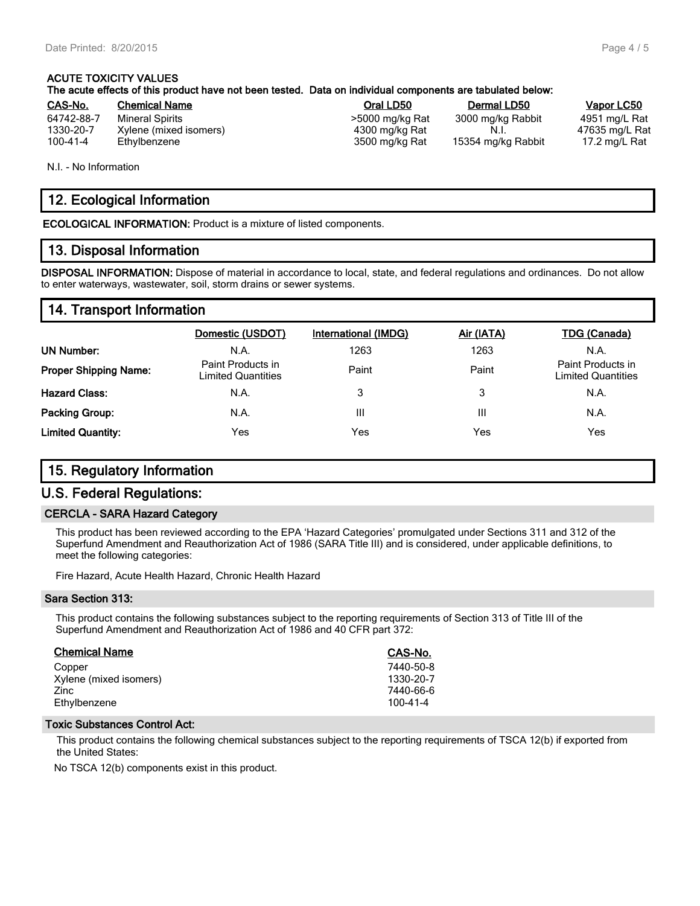#### **ACUTE TOXICITY VALUES The acute effects of this product have not been tested. Data on individual components are tabulated below:**

| CAS-No.        | <b>Chemical Name</b>   | Oral LD50       | Dermal LD50        | <b>Vapor LC50</b> |
|----------------|------------------------|-----------------|--------------------|-------------------|
| 64742-88-7     | Mineral Spirits        | >5000 mg/kg Rat | 3000 mg/kg Rabbit  | 4951 mg/L Rat     |
| 1330-20-7      | Xylene (mixed isomers) | 4300 mg/kg Rat  |                    | 47635 mg/L Ra     |
| $100 - 41 - 4$ | Ethylbenzene           | 3500 mg/kg Rat  | 15354 mg/kg Rabbit | 17.2 mg/L Rat     |

N.I. - No Information

# **12. Ecological Information**

**ECOLOGICAL INFORMATION:** Product is a mixture of listed components.

## **13. Disposal Information**

**DISPOSAL INFORMATION:** Dispose of material in accordance to local, state, and federal regulations and ordinances. Do not allow to enter waterways, wastewater, soil, storm drains or sewer systems.

## **14. Transport Information**

|                              | Domestic (USDOT)                               | International (IMDG) | Air (IATA) | <b>TDG (Canada)</b>                            |
|------------------------------|------------------------------------------------|----------------------|------------|------------------------------------------------|
| <b>UN Number:</b>            | N.A.                                           | 1263                 | 1263       | N.A.                                           |
| <b>Proper Shipping Name:</b> | Paint Products in<br><b>Limited Quantities</b> | Paint                | Paint      | Paint Products in<br><b>Limited Quantities</b> |
| <b>Hazard Class:</b>         | N.A.                                           | 3                    | 3          | N.A.                                           |
| <b>Packing Group:</b>        | N.A.                                           | Ш                    | Ш          | N.A.                                           |
| <b>Limited Quantity:</b>     | <b>Yes</b>                                     | Yes                  | Yes        | Yes                                            |

# **15. Regulatory Information**

#### **U.S. Federal Regulations:**

#### **CERCLA - SARA Hazard Category**

This product has been reviewed according to the EPA 'Hazard Categories' promulgated under Sections 311 and 312 of the Superfund Amendment and Reauthorization Act of 1986 (SARA Title III) and is considered, under applicable definitions, to meet the following categories:

Fire Hazard, Acute Health Hazard, Chronic Health Hazard

#### **Sara Section 313:**

This product contains the following substances subject to the reporting requirements of Section 313 of Title III of the Superfund Amendment and Reauthorization Act of 1986 and 40 CFR part 372:

| <b>Chemical Name</b>   | CAS-No.        |
|------------------------|----------------|
| Copper                 | 7440-50-8      |
| Xylene (mixed isomers) | 1330-20-7      |
| Zinc                   | 7440-66-6      |
| Ethylbenzene           | $100 - 41 - 4$ |

#### **Toxic Substances Control Act:**

This product contains the following chemical substances subject to the reporting requirements of TSCA 12(b) if exported from the United States:

No TSCA 12(b) components exist in this product.

47635 mg/L Rat